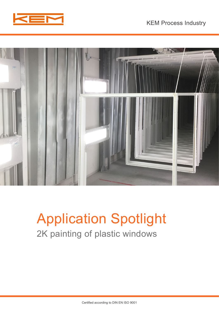



# Application Spotlight 2K painting of plastic windows